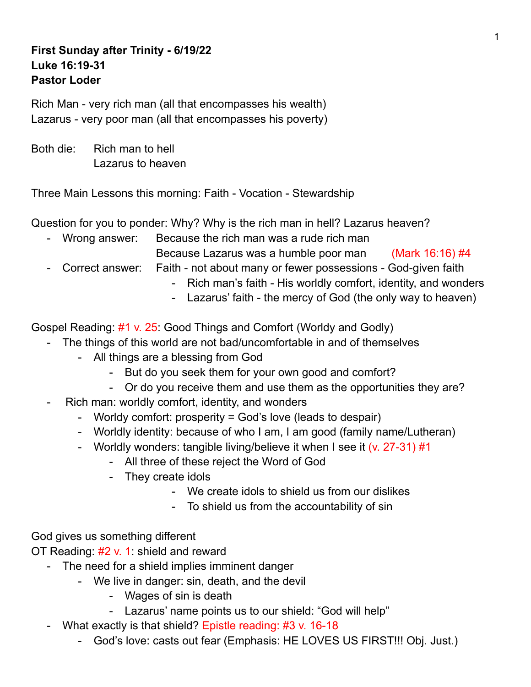## **First Sunday after Trinity - 6/19/22 Luke 16:19-31 Pastor Loder**

Rich Man - very rich man (all that encompasses his wealth) Lazarus - very poor man (all that encompasses his poverty)

Both die: Rich man to hell Lazarus to heaven

Three Main Lessons this morning: Faith - Vocation - Stewardship

Question for you to ponder: Why? Why is the rich man in hell? Lazarus heaven?

- Wrong answer: Because the rich man was a rude rich man
	- Because Lazarus was a humble poor man (Mark 16:16) #4
- Correct answer: Faith not about many or fewer possessions God-given faith
	- Rich man's faith His worldly comfort, identity, and wonders
	- Lazarus' faith the mercy of God (the only way to heaven)

Gospel Reading: #1 v. 25: Good Things and Comfort (Worldy and Godly)

- The things of this world are not bad/uncomfortable in and of themselves
	- All things are a blessing from God
		- But do you seek them for your own good and comfort?
		- Or do you receive them and use them as the opportunities they are?
- Rich man: worldly comfort, identity, and wonders
	- Worldy comfort: prosperity = God's love (leads to despair)
	- Worldly identity: because of who I am, I am good (family name/Lutheran)
	- Worldly wonders: tangible living/believe it when I see it (v. 27-31) #1
		- All three of these reject the Word of God
		- They create idols
			- We create idols to shield us from our dislikes
			- To shield us from the accountability of sin

God gives us something different

OT Reading: #2 v. 1: shield and reward

- The need for a shield implies imminent danger
	- We live in danger: sin, death, and the devil
		- Wages of sin is death
		- Lazarus' name points us to our shield: "God will help"
- What exactly is that shield? Epistle reading: #3 v. 16-18
	- God's love: casts out fear (Emphasis: HE LOVES US FIRST!!! Obj. Just.)